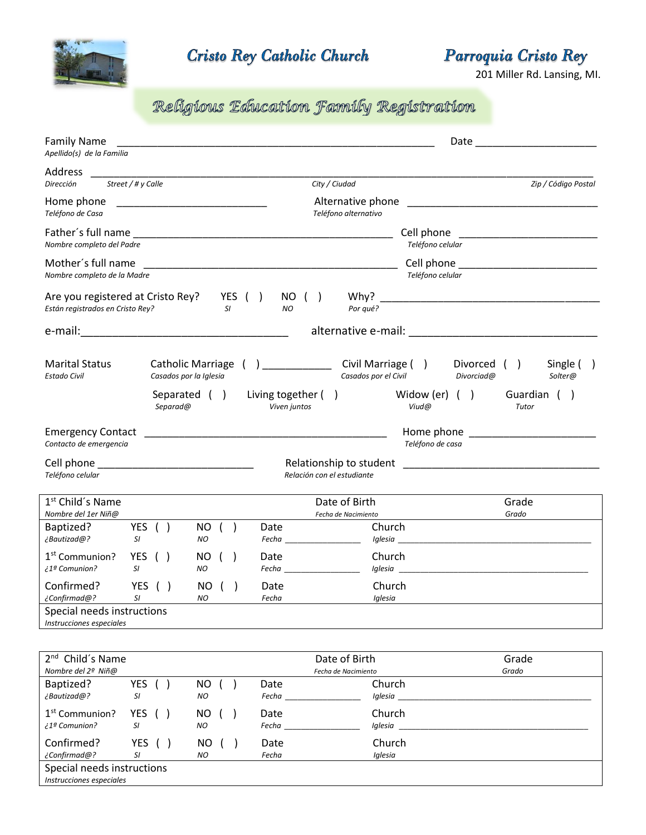

**Cristo Rey Catholic Church** 

Parroquia Cristo Rey

201 Miller Rd. Lansing, MI.

## Religious Education Family Registration

| <b>Family Name</b><br>Apellido(s) de la Familia                       |                                                                                                                      |                                                                                                                       |                                                                                                       |
|-----------------------------------------------------------------------|----------------------------------------------------------------------------------------------------------------------|-----------------------------------------------------------------------------------------------------------------------|-------------------------------------------------------------------------------------------------------|
| Address<br>Street / # y Calle<br>Dirección                            |                                                                                                                      | City / Ciudad                                                                                                         | Zip / Código Postal                                                                                   |
| Home phone<br>Teléfono de Casa                                        | <u> 2000 - Jan Berlin, mars et al. 1980 - Antonio de la contrada de la contrada de la contrada de la contrada de</u> | Alternative phone<br>Teléfono alternativo                                                                             |                                                                                                       |
| Father's full name<br>Nombre completo del Padre                       |                                                                                                                      |                                                                                                                       | Cell phone<br>Teléfono celular                                                                        |
| Mother's full name<br>Nombre completo de la Madre                     |                                                                                                                      | <u> 1989 - Johann John Stoff, deutscher Stoffen und der Stoffen und der Stoffen und der Stoffen und der Stoffen u</u> | Teléfono celular                                                                                      |
| Are you registered at Cristo Rey?<br>Están registrados en Cristo Rey? | YES $( )$<br><b>SI</b>                                                                                               | NO ( )<br>Por qué?<br>NO                                                                                              |                                                                                                       |
|                                                                       |                                                                                                                      |                                                                                                                       |                                                                                                       |
| <b>Marital Status</b><br><b>Estado Civil</b>                          | <b>Catholic Marriage</b><br>Casados por la Iglesia<br>Separated ()<br>Separad@                                       | Civil Marriage ()<br>Casados por el Civil<br>Living together ()<br>Viven juntos                                       | Divorced ()<br>Single (<br>Divorciad@<br>Solter@<br>Widow (er) $( )$<br>Guardian ()<br>Viud@<br>Tutor |
| <b>Emergency Contact</b><br>Contacto de emergencia                    |                                                                                                                      |                                                                                                                       | Home phone <b>contract the series of the series of the series</b><br>Teléfono de casa                 |
| Teléfono celular                                                      |                                                                                                                      | Relación con el estudiante                                                                                            |                                                                                                       |
| 1 <sup>st</sup> Child's Name<br>Nombre del 1er Niñ@                   |                                                                                                                      | Date of Birth<br>Fecha de Nacimiento                                                                                  | Grade<br>Grado                                                                                        |
| YES ( )<br>Baptized?<br>¿Bautizad@?<br>SI                             | NO ( )<br>NO                                                                                                         | Church<br>Date<br>$\epsilon$ Fecha $\frac{1}{\sqrt{1-\epsilon}}$                                                      |                                                                                                       |
| YES $( )$<br>1 <sup>st</sup> Communion?<br>¿1ª Comunion?<br>SI.       | NO ( )<br>NO                                                                                                         | Church<br>Date                                                                                                        |                                                                                                       |
| $YES$ ( )<br>Confirmed?<br>¿Confirmad@?<br>SI                         | NO ( )<br>NO                                                                                                         | Church<br>Date<br>Fecha<br>Iglesia                                                                                    |                                                                                                       |
| Special needs instructions<br>Instrucciones especiales                |                                                                                                                      |                                                                                                                       |                                                                                                       |

| 2 <sup>nd</sup> Child's Name                           |                         |           | Date of Birth |                     | Grade |  |
|--------------------------------------------------------|-------------------------|-----------|---------------|---------------------|-------|--|
| Nombre del 2º Niñ@                                     |                         |           |               | Fecha de Nacimiento | Grado |  |
| Baptized?<br>¿Bautizad@?                               | YES<br>SI               | NO.<br>NO | Date<br>Fecha | Church<br>Iglesia   |       |  |
| 1 <sup>st</sup> Communion?<br>¿1ª Comunion?            | YES ()<br>SI            | NO.<br>NO | Date<br>Fecha | Church<br>Iglesia   |       |  |
| Confirmed?<br>¿Confirmad@?                             | YES<br>$\sqrt{2}$<br>SI | NO.<br>NO | Date<br>Fecha | Church<br>Iglesia   |       |  |
| Special needs instructions<br>Instrucciones especiales |                         |           |               |                     |       |  |